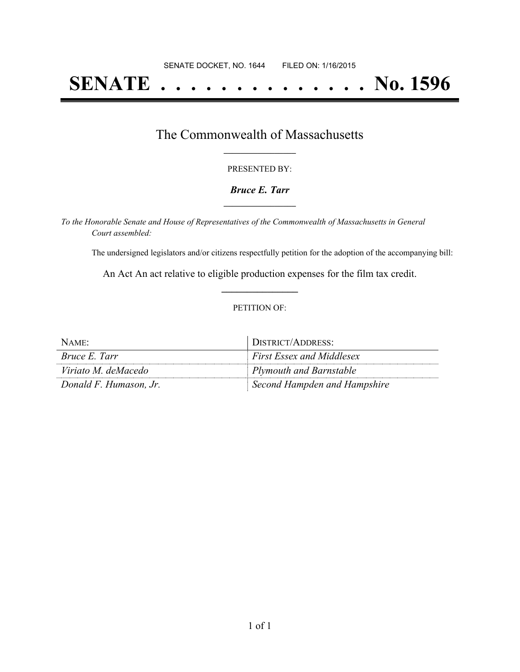# **SENATE . . . . . . . . . . . . . . No. 1596**

## The Commonwealth of Massachusetts **\_\_\_\_\_\_\_\_\_\_\_\_\_\_\_\_\_**

#### PRESENTED BY:

#### *Bruce E. Tarr* **\_\_\_\_\_\_\_\_\_\_\_\_\_\_\_\_\_**

*To the Honorable Senate and House of Representatives of the Commonwealth of Massachusetts in General Court assembled:*

The undersigned legislators and/or citizens respectfully petition for the adoption of the accompanying bill:

An Act An act relative to eligible production expenses for the film tax credit. **\_\_\_\_\_\_\_\_\_\_\_\_\_\_\_**

#### PETITION OF:

| NAME:                  | DISTRICT/ADDRESS:                |
|------------------------|----------------------------------|
| <i>Bruce E. Tarr</i>   | <b>First Essex and Middlesex</b> |
| Viriato M. deMacedo    | Plymouth and Barnstable          |
| Donald F. Humason, Jr. | Second Hampden and Hampshire     |